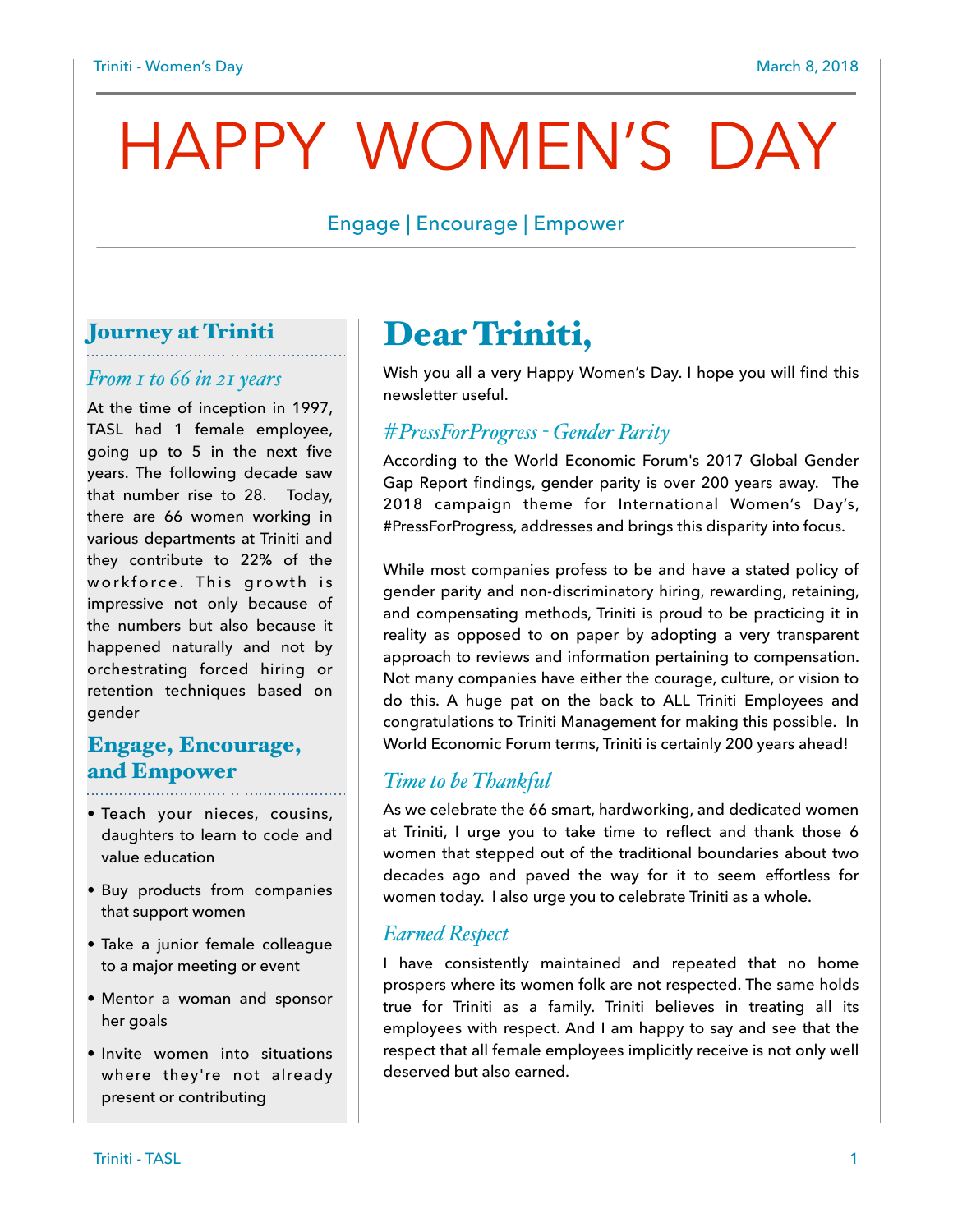# HAPPY WOMEN'S DAY

# Engage | Encourage | Empower

# Journey at Triniti

#### *From 1 to 66 in 21 years*

At the time of inception in 1997, TASL had 1 female employee, going up to 5 in the next five years. The following decade saw that number rise to 28. Today, there are 66 women working in various departments at Triniti and they contribute to 22% of the workforce. This growth is impressive not only because of the numbers but also because it happened naturally and not by orchestrating forced hiring or retention techniques based on gender

# Engage, Encourage, and Empower

- Teach your nieces, cousins, daughters to learn to code and value education
- Buy products from companies that support women
- Take a junior female colleague to a major meeting or event
- Mentor a woman and sponsor her goals
- Invite women into situations where they're not already present or contributing

# Dear Triniti,

Wish you all a very Happy Women's Day. I hope you will find this newsletter useful.

#### *#PressForProgress - Gender Parity*

According to the World Economic Forum's 2017 Global Gender Gap Report findings, gender parity is over 200 years away. The 2018 campaign theme for International Women's Day's, #PressForProgress, addresses and brings this disparity into focus.

While most companies profess to be and have a stated policy of gender parity and non-discriminatory hiring, rewarding, retaining, and compensating methods, Triniti is proud to be practicing it in reality as opposed to on paper by adopting a very transparent approach to reviews and information pertaining to compensation. Not many companies have either the courage, culture, or vision to do this. A huge pat on the back to ALL Triniti Employees and congratulations to Triniti Management for making this possible. In World Economic Forum terms, Triniti is certainly 200 years ahead!

### *Time to be Thankful*

As we celebrate the 66 smart, hardworking, and dedicated women at Triniti, I urge you to take time to reflect and thank those 6 women that stepped out of the traditional boundaries about two decades ago and paved the way for it to seem effortless for women today. I also urge you to celebrate Triniti as a whole.

#### *Earned Respect*

I have consistently maintained and repeated that no home prospers where its women folk are not respected. The same holds true for Triniti as a family. Triniti believes in treating all its employees with respect. And I am happy to say and see that the respect that all female employees implicitly receive is not only well deserved but also earned.